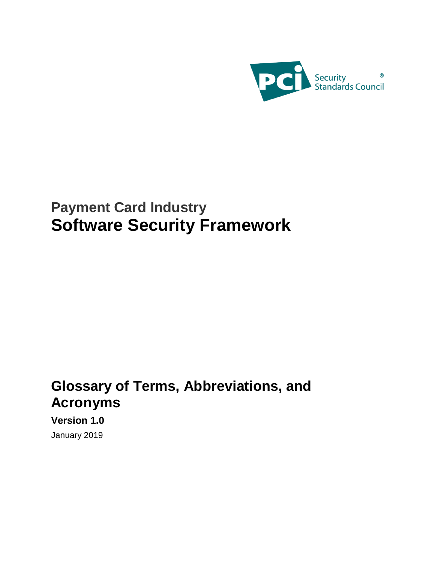

## **Payment Card Industry Software Security Framework**

## **Glossary of Terms, Abbreviations, and Acronyms**

**Version 1.0** January 2019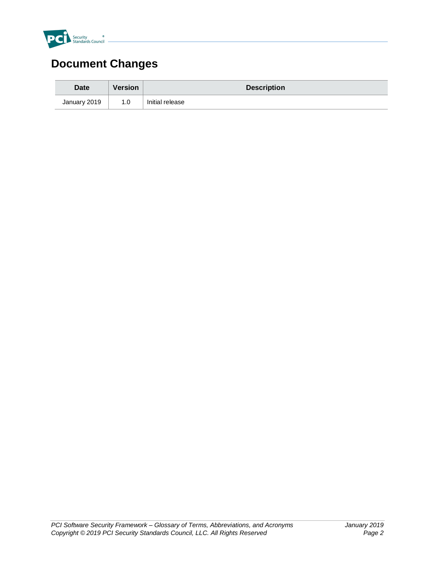

## **Document Changes**

| <b>Date</b>  | Version | <b>Description</b> |
|--------------|---------|--------------------|
| January 2019 | 1.0     | Initial release    |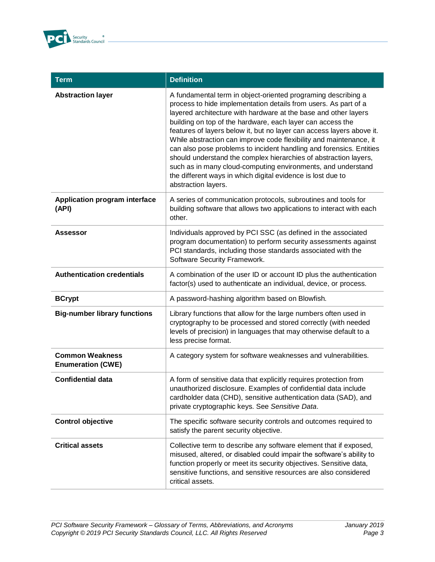

| <b>Term</b>                                        | <b>Definition</b>                                                                                                                                                                                                                                                                                                                                                                                                                                                                                                                                                                                                                                                                                                 |
|----------------------------------------------------|-------------------------------------------------------------------------------------------------------------------------------------------------------------------------------------------------------------------------------------------------------------------------------------------------------------------------------------------------------------------------------------------------------------------------------------------------------------------------------------------------------------------------------------------------------------------------------------------------------------------------------------------------------------------------------------------------------------------|
| <b>Abstraction layer</b>                           | A fundamental term in object-oriented programing describing a<br>process to hide implementation details from users. As part of a<br>layered architecture with hardware at the base and other layers<br>building on top of the hardware, each layer can access the<br>features of layers below it, but no layer can access layers above it.<br>While abstraction can improve code flexibility and maintenance, it<br>can also pose problems to incident handling and forensics. Entities<br>should understand the complex hierarchies of abstraction layers,<br>such as in many cloud-computing environments, and understand<br>the different ways in which digital evidence is lost due to<br>abstraction layers. |
| Application program interface<br>(API)             | A series of communication protocols, subroutines and tools for<br>building software that allows two applications to interact with each<br>other.                                                                                                                                                                                                                                                                                                                                                                                                                                                                                                                                                                  |
| Assessor                                           | Individuals approved by PCI SSC (as defined in the associated<br>program documentation) to perform security assessments against<br>PCI standards, including those standards associated with the<br>Software Security Framework.                                                                                                                                                                                                                                                                                                                                                                                                                                                                                   |
| <b>Authentication credentials</b>                  | A combination of the user ID or account ID plus the authentication<br>factor(s) used to authenticate an individual, device, or process.                                                                                                                                                                                                                                                                                                                                                                                                                                                                                                                                                                           |
| <b>BCrypt</b>                                      | A password-hashing algorithm based on Blowfish.                                                                                                                                                                                                                                                                                                                                                                                                                                                                                                                                                                                                                                                                   |
| <b>Big-number library functions</b>                | Library functions that allow for the large numbers often used in<br>cryptography to be processed and stored correctly (with needed<br>levels of precision) in languages that may otherwise default to a<br>less precise format.                                                                                                                                                                                                                                                                                                                                                                                                                                                                                   |
| <b>Common Weakness</b><br><b>Enumeration (CWE)</b> | A category system for software weaknesses and vulnerabilities.                                                                                                                                                                                                                                                                                                                                                                                                                                                                                                                                                                                                                                                    |
| <b>Confidential data</b>                           | A form of sensitive data that explicitly requires protection from<br>unauthorized disclosure. Examples of confidential data include<br>cardholder data (CHD), sensitive authentication data (SAD), and<br>private cryptographic keys. See Sensitive Data.                                                                                                                                                                                                                                                                                                                                                                                                                                                         |
| <b>Control objective</b>                           | The specific software security controls and outcomes required to<br>satisfy the parent security objective.                                                                                                                                                                                                                                                                                                                                                                                                                                                                                                                                                                                                        |
| <b>Critical assets</b>                             | Collective term to describe any software element that if exposed,<br>misused, altered, or disabled could impair the software's ability to<br>function properly or meet its security objectives. Sensitive data,<br>sensitive functions, and sensitive resources are also considered<br>critical assets.                                                                                                                                                                                                                                                                                                                                                                                                           |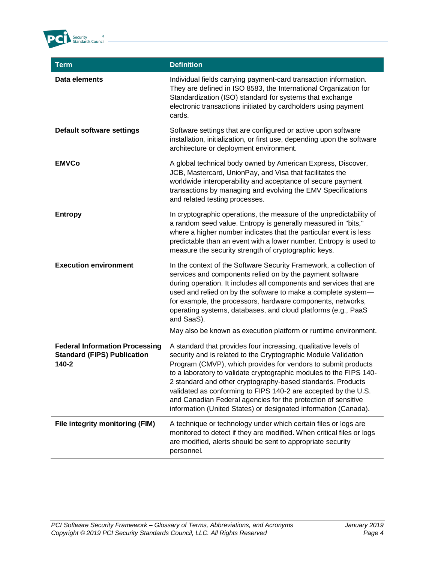

| <b>Term</b>                                                                          | <b>Definition</b>                                                                                                                                                                                                                                                                                                                                                                                                                                                                                                                             |
|--------------------------------------------------------------------------------------|-----------------------------------------------------------------------------------------------------------------------------------------------------------------------------------------------------------------------------------------------------------------------------------------------------------------------------------------------------------------------------------------------------------------------------------------------------------------------------------------------------------------------------------------------|
| Data elements                                                                        | Individual fields carrying payment-card transaction information.<br>They are defined in ISO 8583, the International Organization for<br>Standardization (ISO) standard for systems that exchange<br>electronic transactions initiated by cardholders using payment<br>cards.                                                                                                                                                                                                                                                                  |
| <b>Default software settings</b>                                                     | Software settings that are configured or active upon software<br>installation, initialization, or first use, depending upon the software<br>architecture or deployment environment.                                                                                                                                                                                                                                                                                                                                                           |
| <b>EMVCo</b>                                                                         | A global technical body owned by American Express, Discover,<br>JCB, Mastercard, UnionPay, and Visa that facilitates the<br>worldwide interoperability and acceptance of secure payment<br>transactions by managing and evolving the EMV Specifications<br>and related testing processes.                                                                                                                                                                                                                                                     |
| <b>Entropy</b>                                                                       | In cryptographic operations, the measure of the unpredictability of<br>a random seed value. Entropy is generally measured in "bits,"<br>where a higher number indicates that the particular event is less<br>predictable than an event with a lower number. Entropy is used to<br>measure the security strength of cryptographic keys.                                                                                                                                                                                                        |
| <b>Execution environment</b>                                                         | In the context of the Software Security Framework, a collection of<br>services and components relied on by the payment software<br>during operation. It includes all components and services that are<br>used and relied on by the software to make a complete system-<br>for example, the processors, hardware components, networks,<br>operating systems, databases, and cloud platforms (e.g., PaaS<br>and SaaS).<br>May also be known as execution platform or runtime environment.                                                       |
| <b>Federal Information Processing</b><br><b>Standard (FIPS) Publication</b><br>140-2 | A standard that provides four increasing, qualitative levels of<br>security and is related to the Cryptographic Module Validation<br>Program (CMVP), which provides for vendors to submit products<br>to a laboratory to validate cryptographic modules to the FIPS 140-<br>2 standard and other cryptography-based standards. Products<br>validated as conforming to FIPS 140-2 are accepted by the U.S.<br>and Canadian Federal agencies for the protection of sensitive<br>information (United States) or designated information (Canada). |
| File integrity monitoring (FIM)                                                      | A technique or technology under which certain files or logs are<br>monitored to detect if they are modified. When critical files or logs<br>are modified, alerts should be sent to appropriate security<br>personnel.                                                                                                                                                                                                                                                                                                                         |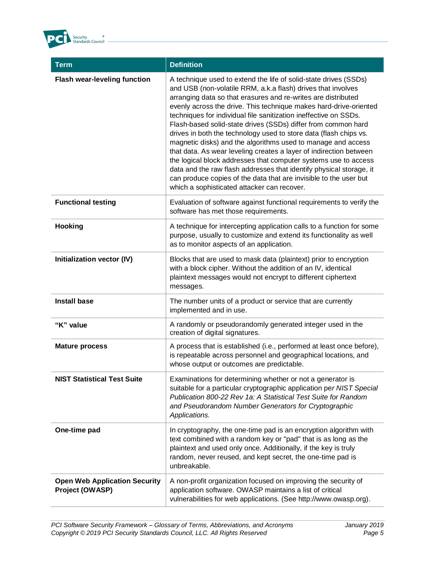

| <b>Term</b>                                             | <b>Definition</b>                                                                                                                                                                                                                                                                                                                                                                                                                                                                                                                                                                                                                                                                                                                                                                                                                                                                    |
|---------------------------------------------------------|--------------------------------------------------------------------------------------------------------------------------------------------------------------------------------------------------------------------------------------------------------------------------------------------------------------------------------------------------------------------------------------------------------------------------------------------------------------------------------------------------------------------------------------------------------------------------------------------------------------------------------------------------------------------------------------------------------------------------------------------------------------------------------------------------------------------------------------------------------------------------------------|
| <b>Flash wear-leveling function</b>                     | A technique used to extend the life of solid-state drives (SSDs)<br>and USB (non-volatile RRM, a.k.a flash) drives that involves<br>arranging data so that erasures and re-writes are distributed<br>evenly across the drive. This technique makes hard-drive-oriented<br>techniques for individual file sanitization ineffective on SSDs.<br>Flash-based solid-state drives (SSDs) differ from common hard<br>drives in both the technology used to store data (flash chips vs.<br>magnetic disks) and the algorithms used to manage and access<br>that data. As wear leveling creates a layer of indirection between<br>the logical block addresses that computer systems use to access<br>data and the raw flash addresses that identify physical storage, it<br>can produce copies of the data that are invisible to the user but<br>which a sophisticated attacker can recover. |
| <b>Functional testing</b>                               | Evaluation of software against functional requirements to verify the<br>software has met those requirements.                                                                                                                                                                                                                                                                                                                                                                                                                                                                                                                                                                                                                                                                                                                                                                         |
| Hooking                                                 | A technique for intercepting application calls to a function for some<br>purpose, usually to customize and extend its functionality as well<br>as to monitor aspects of an application.                                                                                                                                                                                                                                                                                                                                                                                                                                                                                                                                                                                                                                                                                              |
| Initialization vector (IV)                              | Blocks that are used to mask data (plaintext) prior to encryption<br>with a block cipher. Without the addition of an IV, identical<br>plaintext messages would not encrypt to different ciphertext<br>messages.                                                                                                                                                                                                                                                                                                                                                                                                                                                                                                                                                                                                                                                                      |
| <b>Install base</b>                                     | The number units of a product or service that are currently<br>implemented and in use.                                                                                                                                                                                                                                                                                                                                                                                                                                                                                                                                                                                                                                                                                                                                                                                               |
| "K" value                                               | A randomly or pseudorandomly generated integer used in the<br>creation of digital signatures.                                                                                                                                                                                                                                                                                                                                                                                                                                                                                                                                                                                                                                                                                                                                                                                        |
| <b>Mature process</b>                                   | A process that is established (i.e., performed at least once before),<br>is repeatable across personnel and geographical locations, and<br>whose output or outcomes are predictable.                                                                                                                                                                                                                                                                                                                                                                                                                                                                                                                                                                                                                                                                                                 |
| <b>NIST Statistical Test Suite</b>                      | Examinations for determining whether or not a generator is<br>suitable for a particular cryptographic application per NIST Special<br>Publication 800-22 Rev 1a: A Statistical Test Suite for Random<br>and Pseudorandom Number Generators for Cryptographic<br>Applications.                                                                                                                                                                                                                                                                                                                                                                                                                                                                                                                                                                                                        |
| One-time pad                                            | In cryptography, the one-time pad is an encryption algorithm with<br>text combined with a random key or "pad" that is as long as the<br>plaintext and used only once. Additionally, if the key is truly<br>random, never reused, and kept secret, the one-time pad is<br>unbreakable.                                                                                                                                                                                                                                                                                                                                                                                                                                                                                                                                                                                                |
| <b>Open Web Application Security</b><br>Project (OWASP) | A non-profit organization focused on improving the security of<br>application software. OWASP maintains a list of critical<br>vulnerabilities for web applications. (See http://www.owasp.org).                                                                                                                                                                                                                                                                                                                                                                                                                                                                                                                                                                                                                                                                                      |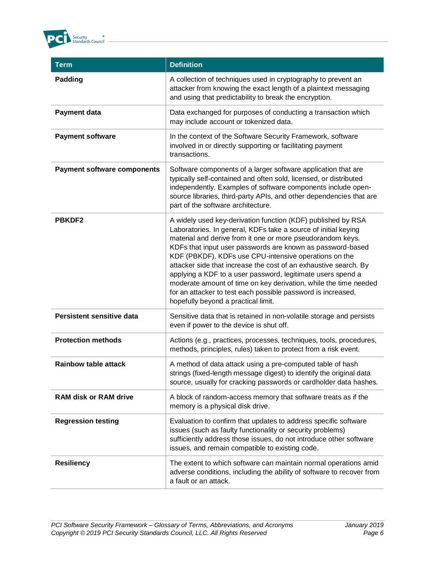

| <b>Term</b>                        | <b>Definition</b>                                                                                                                                                                                                                                                                                                                                                                                                                                                                                                                                                                                                                 |
|------------------------------------|-----------------------------------------------------------------------------------------------------------------------------------------------------------------------------------------------------------------------------------------------------------------------------------------------------------------------------------------------------------------------------------------------------------------------------------------------------------------------------------------------------------------------------------------------------------------------------------------------------------------------------------|
| Padding                            | A collection of techniques used in cryptography to prevent an<br>attacker from knowing the exact length of a plaintext messaging<br>and using that predictability to break the encryption.                                                                                                                                                                                                                                                                                                                                                                                                                                        |
| <b>Payment data</b>                | Data exchanged for purposes of conducting a transaction which<br>may include account or tokenized data.                                                                                                                                                                                                                                                                                                                                                                                                                                                                                                                           |
| <b>Payment software</b>            | In the context of the Software Security Framework, software<br>involved in or directly supporting or facilitating payment<br>transactions.                                                                                                                                                                                                                                                                                                                                                                                                                                                                                        |
| <b>Payment software components</b> | Software components of a larger software application that are<br>typically self-contained and often sold, licensed, or distributed<br>independently. Examples of software components include open-<br>source libraries, third-party APIs, and other dependencies that are<br>part of the software architecture.                                                                                                                                                                                                                                                                                                                   |
| <b>PBKDF2</b>                      | A widely used key-derivation function (KDF) published by RSA<br>Laboratories. In general, KDFs take a source of initial keying<br>material and derive from it one or more pseudorandom keys.<br>KDFs that input user passwords are known as password-based<br>KDF (PBKDF). KDFs use CPU-intensive operations on the<br>attacker side that increase the cost of an exhaustive search. By<br>applying a KDF to a user password, legitimate users spend a<br>moderate amount of time on key derivation, while the time needed<br>for an attacker to test each possible password is increased,<br>hopefully beyond a practical limit. |
| <b>Persistent sensitive data</b>   | Sensitive data that is retained in non-volatile storage and persists<br>even if power to the device is shut off.                                                                                                                                                                                                                                                                                                                                                                                                                                                                                                                  |
| <b>Protection methods</b>          | Actions (e.g., practices, processes, techniques, tools, procedures,<br>methods, principles, rules) taken to protect from a risk event.                                                                                                                                                                                                                                                                                                                                                                                                                                                                                            |
| <b>Rainbow table attack</b>        | A method of data attack using a pre-computed table of hash<br>strings (fixed-length message digest) to identify the original data<br>source, usually for cracking passwords or cardholder data hashes.                                                                                                                                                                                                                                                                                                                                                                                                                            |
| <b>RAM disk or RAM drive</b>       | A block of random-access memory that software treats as if the<br>memory is a physical disk drive.                                                                                                                                                                                                                                                                                                                                                                                                                                                                                                                                |
| <b>Regression testing</b>          | Evaluation to confirm that updates to address specific software<br>issues (such as faulty functionality or security problems)<br>sufficiently address those issues, do not introduce other software<br>issues, and remain compatible to existing code.                                                                                                                                                                                                                                                                                                                                                                            |
| <b>Resiliency</b>                  | The extent to which software can maintain normal operations amid<br>adverse conditions, including the ability of software to recover from<br>a fault or an attack.                                                                                                                                                                                                                                                                                                                                                                                                                                                                |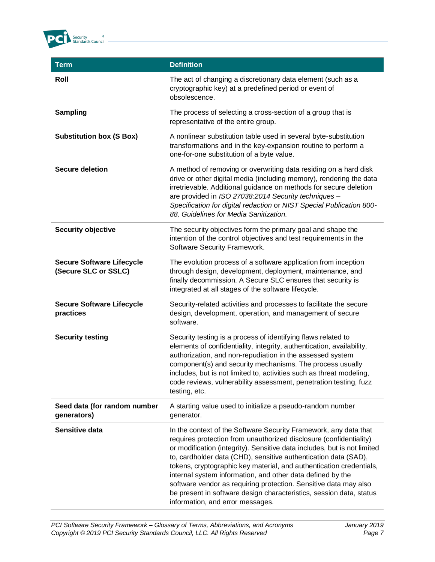

| <b>Term</b>                                              | <b>Definition</b>                                                                                                                                                                                                                                                                                                                                                                                                                                                                                                                                                                                         |
|----------------------------------------------------------|-----------------------------------------------------------------------------------------------------------------------------------------------------------------------------------------------------------------------------------------------------------------------------------------------------------------------------------------------------------------------------------------------------------------------------------------------------------------------------------------------------------------------------------------------------------------------------------------------------------|
| Roll                                                     | The act of changing a discretionary data element (such as a<br>cryptographic key) at a predefined period or event of<br>obsolescence.                                                                                                                                                                                                                                                                                                                                                                                                                                                                     |
| <b>Sampling</b>                                          | The process of selecting a cross-section of a group that is<br>representative of the entire group.                                                                                                                                                                                                                                                                                                                                                                                                                                                                                                        |
| <b>Substitution box (S Box)</b>                          | A nonlinear substitution table used in several byte-substitution<br>transformations and in the key-expansion routine to perform a<br>one-for-one substitution of a byte value.                                                                                                                                                                                                                                                                                                                                                                                                                            |
| <b>Secure deletion</b>                                   | A method of removing or overwriting data residing on a hard disk<br>drive or other digital media (including memory), rendering the data<br>irretrievable. Additional guidance on methods for secure deletion<br>are provided in ISO 27038:2014 Security techniques -<br>Specification for digital redaction or NIST Special Publication 800-<br>88, Guidelines for Media Sanitization.                                                                                                                                                                                                                    |
| <b>Security objective</b>                                | The security objectives form the primary goal and shape the<br>intention of the control objectives and test requirements in the<br>Software Security Framework.                                                                                                                                                                                                                                                                                                                                                                                                                                           |
| <b>Secure Software Lifecycle</b><br>(Secure SLC or SSLC) | The evolution process of a software application from inception<br>through design, development, deployment, maintenance, and<br>finally decommission. A Secure SLC ensures that security is<br>integrated at all stages of the software lifecycle.                                                                                                                                                                                                                                                                                                                                                         |
| <b>Secure Software Lifecycle</b><br>practices            | Security-related activities and processes to facilitate the secure<br>design, development, operation, and management of secure<br>software.                                                                                                                                                                                                                                                                                                                                                                                                                                                               |
| <b>Security testing</b>                                  | Security testing is a process of identifying flaws related to<br>elements of confidentiality, integrity, authentication, availability,<br>authorization, and non-repudiation in the assessed system<br>component(s) and security mechanisms. The process usually<br>includes, but is not limited to, activities such as threat modeling,<br>code reviews, vulnerability assessment, penetration testing, fuzz<br>testing, etc.                                                                                                                                                                            |
| Seed data (for random number<br>generators)              | A starting value used to initialize a pseudo-random number<br>generator.                                                                                                                                                                                                                                                                                                                                                                                                                                                                                                                                  |
| Sensitive data                                           | In the context of the Software Security Framework, any data that<br>requires protection from unauthorized disclosure (confidentiality)<br>or modification (integrity). Sensitive data includes, but is not limited<br>to, cardholder data (CHD), sensitive authentication data (SAD),<br>tokens, cryptographic key material, and authentication credentials,<br>internal system information, and other data defined by the<br>software vendor as requiring protection. Sensitive data may also<br>be present in software design characteristics, session data, status<br>information, and error messages. |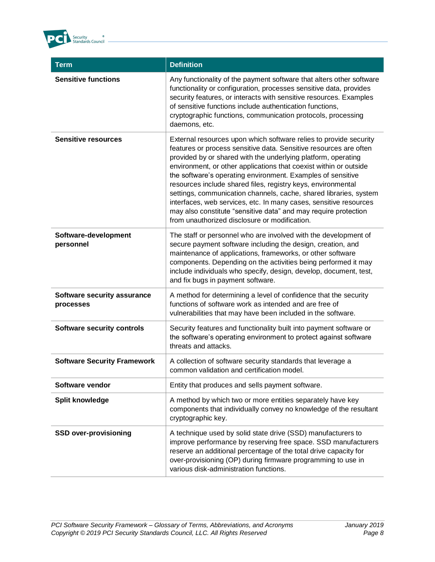

| <b>Term</b>                              | <b>Definition</b>                                                                                                                                                                                                                                                                                                                                                                                                                                                                                                                                                                                                                                                         |
|------------------------------------------|---------------------------------------------------------------------------------------------------------------------------------------------------------------------------------------------------------------------------------------------------------------------------------------------------------------------------------------------------------------------------------------------------------------------------------------------------------------------------------------------------------------------------------------------------------------------------------------------------------------------------------------------------------------------------|
| <b>Sensitive functions</b>               | Any functionality of the payment software that alters other software<br>functionality or configuration, processes sensitive data, provides<br>security features, or interacts with sensitive resources. Examples<br>of sensitive functions include authentication functions,<br>cryptographic functions, communication protocols, processing<br>daemons, etc.                                                                                                                                                                                                                                                                                                             |
| <b>Sensitive resources</b>               | External resources upon which software relies to provide security<br>features or process sensitive data. Sensitive resources are often<br>provided by or shared with the underlying platform, operating<br>environment, or other applications that coexist within or outside<br>the software's operating environment. Examples of sensitive<br>resources include shared files, registry keys, environmental<br>settings, communication channels, cache, shared libraries, system<br>interfaces, web services, etc. In many cases, sensitive resources<br>may also constitute "sensitive data" and may require protection<br>from unauthorized disclosure or modification. |
| Software-development<br>personnel        | The staff or personnel who are involved with the development of<br>secure payment software including the design, creation, and<br>maintenance of applications, frameworks, or other software<br>components. Depending on the activities being performed it may<br>include individuals who specify, design, develop, document, test,<br>and fix bugs in payment software.                                                                                                                                                                                                                                                                                                  |
| Software security assurance<br>processes | A method for determining a level of confidence that the security<br>functions of software work as intended and are free of<br>vulnerabilities that may have been included in the software.                                                                                                                                                                                                                                                                                                                                                                                                                                                                                |
| <b>Software security controls</b>        | Security features and functionality built into payment software or<br>the software's operating environment to protect against software<br>threats and attacks.                                                                                                                                                                                                                                                                                                                                                                                                                                                                                                            |
| <b>Software Security Framework</b>       | A collection of software security standards that leverage a<br>common validation and certification model.                                                                                                                                                                                                                                                                                                                                                                                                                                                                                                                                                                 |
| Software vendor                          | Entity that produces and sells payment software.                                                                                                                                                                                                                                                                                                                                                                                                                                                                                                                                                                                                                          |
| <b>Split knowledge</b>                   | A method by which two or more entities separately have key<br>components that individually convey no knowledge of the resultant<br>cryptographic key.                                                                                                                                                                                                                                                                                                                                                                                                                                                                                                                     |
| <b>SSD over-provisioning</b>             | A technique used by solid state drive (SSD) manufacturers to<br>improve performance by reserving free space. SSD manufacturers<br>reserve an additional percentage of the total drive capacity for<br>over-provisioning (OP) during firmware programming to use in<br>various disk-administration functions.                                                                                                                                                                                                                                                                                                                                                              |